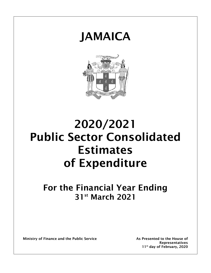



# 2020/2021 Public Sector Consolidated Estimates of Expenditure

## For the Financial Year Ending 31st March 2021

Ministry of Finance and the Public Service As Presented to the House of

Representatives 11<sup>th</sup> day of February, 2020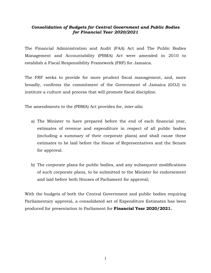## *Consolidation of Budgets for Central Government and Public Bodies for Financial Year 2020/2021*

The Financial Administration and Audit (FAA) Act and The Public Bodies Management and Accountability (PBMA) Act were amended in 2010 to establish a Fiscal Responsibility Framework (FRF) for Jamaica.

The FRF seeks to provide for more prudent fiscal management, and, more broadly, confirms the commitment of the Government of Jamaica (GOJ) to institute a culture and process that will promote fiscal discipline.

The amendments to the (PBMA) Act provides for, *inter alia*:

- a) The Minister to have prepared before the end of each financial year, estimates of revenue and expenditure in respect of all public bodies (including a summary of their corporate plans) and shall cause these estimates to be laid before the House of Representatives and the Senate for approval.
- b) The corporate plans for public bodies, and any subsequent modifications of such corporate plans, to be submitted to the Minister for endorsement and laid before both Houses of Parliament for approval;

With the budgets of both the Central Government and public bodies requiring Parliamentary approval, a consolidated set of Expenditure Estimates has been produced for presentation to Parliament for **Financial Year 2020/2021.**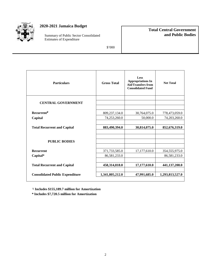

## **2020-2021 Jamaica Budget**

Summary of Public Sector Consolidated Estimates of Expenditure

## **Total Central Government and Public Bodies**

\$'000

| <b>Particulars</b>                     | <b>Gross Total</b> | Less<br><b>Appropriations In</b><br><b>Aid/Transfers from</b><br><b>Consolidated Fund</b> | <b>Net Total</b> |
|----------------------------------------|--------------------|-------------------------------------------------------------------------------------------|------------------|
| <b>CENTRAL GOVERNMENT</b>              |                    |                                                                                           |                  |
| <b>Recurrent</b> <sup>y</sup>          | 809,237,134.0      | 30,764,075.0                                                                              | 778,473,059.0    |
| Capital                                | 74,253,260.0       | 50,000.0                                                                                  | 74,203,260.0     |
| <b>Total Recurrent and Capital</b>     | 883,490,394.0      | 30,814,075.0                                                                              | 852,676,319.0    |
| <b>PUBLIC BODIES</b>                   |                    |                                                                                           |                  |
| <b>Recurrent</b>                       | 371,733,585.0      | 17,177,610.0                                                                              | 354,555,975.0    |
| Capital*                               | 86,581,233.0       |                                                                                           | 86,581,233.0     |
| <b>Total Recurrent and Capital</b>     | 458,314,818.0      | 17,177,610.0                                                                              | 441,137,208.0    |
| <b>Consolidated Public Expenditure</b> | 1,341,805,212.0    | 47,991,685.0                                                                              | 1,293,813,527.0  |

**ˠ Includes \$155,189.7 million for Amortization**

**\* Includes \$7,720.5 million for Amortization**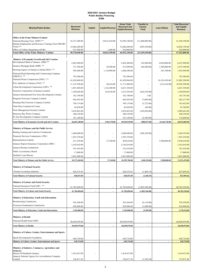#### 2020-2021 Jamaica Budget Public Bodies Financing \$'000

|                                                                                             |                            |                          | <b>Gross Total</b>       | <b>Transfer to</b>                             |                   | <b>Total Recurrent</b>   |                            |
|---------------------------------------------------------------------------------------------|----------------------------|--------------------------|--------------------------|------------------------------------------------|-------------------|--------------------------|----------------------------|
| <b>Ministry/Public Bodies</b>                                                               | Recurrent<br>Revenue       | Capital                  | <b>Capital Revenue</b>   | <b>Recurrent and</b><br><b>Capital Revenue</b> | Consol.<br>Fund   | <b>Loan Inflows</b>      | and Capital<br>Revenue     |
|                                                                                             |                            |                          |                          |                                                |                   |                          |                            |
| <b>Office of the Prime Minister/Cabinet</b>                                                 |                            |                          |                          |                                                |                   |                          |                            |
| National Housing Trust (NHT) **                                                             | 34,127,380.00              |                          | 18,821,810.00            | 52,949,190.00                                  | (11,400,000.00)   |                          | 41,549,190.00              |
| Human Employment and Resource Training Trust (HEART<br>Trust) $**$                          | 15,686,280.00              |                          |                          | 15,686,280.00                                  | (859, 530.00)     |                          | 14,826,750.00              |
| Office of Utilities Regulation (OUR)                                                        | 915,380.00                 |                          | 1,480.00                 | 916,860.00                                     |                   |                          | 916,860.00                 |
| Total Office of the Prime Minister/ Cabinet                                                 | 50,729,040.00              | $\overline{\phantom{a}}$ | 18,823,290.00            | 69,552,330.00                                  | (12, 259, 530.00) | $\overline{\phantom{a}}$ | 57,292,800.00              |
|                                                                                             |                            |                          |                          |                                                |                   |                          |                            |
| <b>Ministry of Economic Growth and Job Creation</b><br>Development Bank of Jamaica (DBJ) ** | 2,465,480.00               |                          |                          | 2,465,480.00                                   | (26,490.00)       | 4,034,000.00             | 6,472,990.00               |
| Jamaica Mortgage Bank (JMB) **                                                              | 371,390.00                 |                          | 44,500.00                | 415,890.00                                     | (60, 500.00)      | 1,920,000.00             | 2,275,390.00               |
| Housing Agency of Jamaica Limited (HAJ) **                                                  | 569,300.00                 |                          | 1,110,990.00             | 1,680,290.00                                   |                   | 243,700.00               | 1,923,990.00               |
| National Road Operating and Constructing Company                                            |                            |                          |                          |                                                |                   |                          |                            |
| $(NROCC)$ **                                                                                | 743,380.00                 |                          |                          | 743,380.00                                     |                   |                          | 743,380.00                 |
| National Water Commission (NWC) **                                                          | 41,620,960.00              |                          |                          | 41,620,960.00                                  |                   | 10,181,630.00            | 51,802,590.00              |
| Port Authority of Jamaica (PAJ) **<br>Urban Development Corporation (UDC) **                | 11,122,590.00              |                          | 48,410.00                | 11,171,000.00                                  |                   | (212, 610.00)            | 10,958,390.00              |
| Factories Corporation of Jamaica Limited                                                    | 3,491,050.00               |                          | 1,136,300.00             | 4,627,350.00                                   |                   |                          | 4,627,350.00               |
| Jamaica International Free Zone Development Limited                                         | 1,189,020.00               |                          | 624,530.00               | 1,813,550.00                                   | (624, 530.00)     |                          | 1,189,020.00               |
| Kingston Freezone Company Limited                                                           | 162,740.00                 |                          |                          | 162,740.00                                     | 1.00              |                          | 162,741.00                 |
| Montego Bay Freezone Company Limited                                                        | 669,303.00                 |                          |                          | 669,303.00                                     | (7,086.00)        |                          | 662,217.00                 |
| Ocho Rios Commercial Centre                                                                 | 769,174.00                 |                          |                          | 769,174.00                                     | (5,722.00)        |                          | 763,452.00                 |
| Ports Management Security Limited                                                           | 45,820.00                  |                          |                          | 45,820.00                                      | (60.00)           |                          | 45,760.00                  |
| Runaway Bay Water Company                                                                   | 3,039,463.00<br>240,330.00 |                          |                          | 3,039,463.00<br>240,330.00                     | (149, 820.00)     |                          | 2,889,643.00<br>240,330.00 |
| St Ann Development Company Limited                                                          | 181,180.00                 |                          |                          | 181,180.00                                     | (6,340.00)        |                          | 174,840.00                 |
| <b>Total Ministry of Economic Growth and Job Creation</b>                                   | 66,681,180.00              |                          | 2,964,730.00             | 69,645,910.00                                  | (880, 547.00)     | 16,166,720.00            | 84,932,083.00              |
|                                                                                             |                            |                          |                          |                                                |                   |                          |                            |
| Ministry of Finance and the Public Service                                                  |                            |                          |                          |                                                |                   |                          |                            |
| Betting, Gaming and Lotteries Commission                                                    | 1,608,600.00               |                          |                          | 1,608,600.00                                   | (368, 230.00)     |                          | 1,240,370.00               |
| Financial Services Commission (FSC)                                                         | 1,507,270.00               |                          |                          | 1,507,270.00                                   |                   |                          | 1,507,270.00               |
| Harmonisation Limited                                                                       | 411,270.00                 |                          | 27,340.00                | 438,610.00                                     |                   | 3,500,000.00             | 3,938,610.00               |
| Jamaica Deposit Insurance Corporation (JDIC)                                                | 3,145,810.00               |                          |                          | 3,145,810.00                                   |                   |                          | 3,145,810.00               |
| Jamaica Racing Commission                                                                   | 191,410.00                 |                          |                          | 191,410.00                                     |                   |                          | 191,410.00                 |
| Public Accountancy Board                                                                    | 17,000.00                  |                          |                          | 17,000.00                                      |                   |                          | 17,000.00                  |
| Students' Loan Bureau                                                                       | 3,491,000.00               |                          |                          | 3,491,000.00                                   |                   |                          | 3,491,000.00               |
| <b>Total Ministry of Finance and the Public Service</b>                                     | 10,372,360.00              |                          | 27,340.00                | 10,399,700.00                                  | (368, 230.00)     | 3,500,000.00             | 13,531,470.00              |
| <b>Ministry of National Security</b>                                                        |                            |                          |                          |                                                |                   |                          |                            |
|                                                                                             |                            |                          |                          |                                                |                   |                          |                            |
| Firearm Licensing Authority                                                                 | 828,553.85                 |                          |                          | 828,553.85                                     | (1,460.19)        |                          | 827,093.66                 |
| <b>Total Ministry of National Security</b>                                                  | 828,553.85                 |                          |                          | 828,553.85                                     | (1,460.19)        |                          | 827,093.66                 |
| <b>Ministry of Labour and Social Security</b>                                               |                            |                          |                          |                                                |                   |                          |                            |
| National Insurance Fund (NIF) **                                                            | 41,785,890.00              |                          | ÷,                       | 41,785,890.00                                  | (1,003,540.00)    |                          | 40,782,350.00              |
| <b>Total Ministry of Labour and Social Security</b>                                         | 41,785,890.00              |                          | $\overline{\phantom{a}}$ | 41,785,890.00                                  | (1,003,540.00)    |                          | 40,782,350.00              |
|                                                                                             |                            |                          |                          |                                                |                   |                          |                            |
| Ministry of Education, Youth and Information                                                |                            |                          |                          |                                                |                   |                          |                            |
| <b>Broadcasting Commission</b>                                                              | 363,360.00                 |                          |                          | 363,360.00                                     | (4,110.00)        |                          | 359,250.00                 |
| Overseas Examination Commission                                                             | 820,440.00                 |                          |                          | 820,440.00                                     | (1,480.00)        |                          | 818,960.00                 |
| <b>Total Ministry of Education, Youth and Information</b>                                   | 1,183,800.00               |                          |                          | 1,183,800.00                                   | (5,590.00)        |                          | 1,178,210.00               |
|                                                                                             |                            |                          |                          |                                                |                   |                          |                            |
| <b>Ministry of Health</b>                                                                   |                            |                          |                          |                                                |                   |                          |                            |
| National Health Fund (NHF)                                                                  | 20,650,970.00              |                          |                          | 20,650,970.00                                  |                   |                          | 20,650,970.00              |
| <b>Total Ministry of Health</b>                                                             | 20,650,970.00              |                          |                          | 20,650,970.00                                  |                   |                          | 20,650,970.00              |
| Ministry of Culture, Gender, Entertainment and Sports                                       |                            |                          |                          |                                                |                   |                          |                            |
| Sports Development Foundation                                                               | 630,710.00                 |                          |                          | 630,710.00                                     |                   |                          | 630,710.00                 |
| Ministry of Culture, Gender, Entertainment and Sports                                       | 630,710.00                 |                          | ÷,                       | 630,710.00                                     | $\sim$            |                          | 630,710.00                 |
|                                                                                             |                            |                          |                          |                                                |                   |                          |                            |
| Ministry of Industry, Commerce, Agriculture and<br><b>Fisheries</b>                         |                            |                          |                          |                                                |                   |                          |                            |
| Bureau Of Standards Jamaica                                                                 | 1,414,412.00               |                          |                          | 1,414,412.00                                   |                   |                          | 1,414,412.00               |
| Jamaica National Agency for Accreditation Company                                           |                            |                          |                          |                                                |                   |                          |                            |
| Limited                                                                                     | 158,471.56                 |                          |                          | 158,471.56                                     | (1,399.58)        |                          | 157,071.98                 |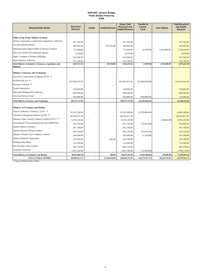#### 2020-2021 Jamaica Budget Public Bodies Financing \$'000

| <b>Ministry/Public Bodies</b>                                             | <b>Recurrent</b><br>Revenue | Capital        | <b>Capital Revenue</b>   | <b>Gross Total</b><br><b>Recurrent and</b><br><b>Capital Revenue</b> | <b>Transfer to</b><br>Consol.<br><b>Fund</b> | <b>Loan Inflows</b> | <b>Total Recurrent</b><br>and Capital<br>Revenue |
|---------------------------------------------------------------------------|-----------------------------|----------------|--------------------------|----------------------------------------------------------------------|----------------------------------------------|---------------------|--------------------------------------------------|
| <b>Office of the Prime Minister/Cabinet</b>                               |                             |                |                          |                                                                      |                                              |                     |                                                  |
| Jamaica Agriculture Commodities Regulatory Authority                      | 447,760.00                  |                |                          | 447,760.00                                                           |                                              |                     | 447,760.00                                       |
| Coconut Industry Board                                                    | 209,560.00                  |                | 130,740.00               | 340,300.00                                                           |                                              |                     | 340,300.00                                       |
| National Export-Import Bank of Jamaica Limited                            | 712,840.00                  |                |                          | 712,840.00                                                           | (2,190.00)                                   | 1,014,000.00        | 1,724,650.00                                     |
| Micro Investment Development Agency                                       | 4,370.00                    |                |                          | 4,370.00                                                             |                                              |                     | 4,370.00                                         |
| Sugar Company of Jamaica Holdings                                         | 562,940.00                  |                |                          | 562,940.00                                                           |                                              |                     | 562,940.00                                       |
| <b>Sugar Industry Authority</b>                                           | 323,160.00                  |                |                          | 323,160.00                                                           |                                              |                     | 323,160.00                                       |
| Total Ministry of Industry, Commerce, Agriculture and<br><b>Fisheries</b> | 3,833,513.56                | $\overline{a}$ | 130,740.00               | 3,964,253.56                                                         | (3,589.58)                                   | 1,014,000.00        | 4,974,663.98                                     |
| <b>Ministry of Science and Technology</b>                                 |                             |                |                          |                                                                      |                                              |                     |                                                  |
| Petroleum Corporation of Jamaica (PCJ) **                                 |                             |                |                          |                                                                      |                                              |                     |                                                  |
| PETROJAM Ltd **                                                           | 207,964,472.90              |                | $\overline{\phantom{a}}$ | 207,964,472.90                                                       | (43, 484, 948.40)                            |                     | 164,479,524.50                                   |
| Petrojam - Ethanol **                                                     |                             |                |                          |                                                                      |                                              |                     |                                                  |
| Postal Corporation                                                        | 169,660.00                  |                |                          | 169,660.00                                                           |                                              |                     | 169,660.00                                       |
| Spectrum Management Authority                                             | 609,580.00                  |                |                          | 609,580.00                                                           |                                              |                     | 609,580.00                                       |
| Universal Service Fund                                                    | 828,000.00                  |                |                          | 828,000.00                                                           | (700,000,00)                                 |                     | 128,000.00                                       |
| <b>Total Ministry of Science and Technology</b>                           | 209,571,712.90              |                | ÷,                       | 209,571,712.90                                                       | (44, 184, 948, 40)                           |                     | 165,386,764.50                                   |
| <b>Ministry of Transport and Mining</b>                                   |                             |                |                          |                                                                      |                                              |                     |                                                  |
| Airport Authority of Jamaica (AAJ) **                                     | 10,362,300.00               |                |                          | 10,362,300.00                                                        | (5,876,000.00)                               |                     | 4,486,300.00                                     |
| Clarendon Aluminium Partners (CAP) **                                     | 20,822,631.60               |                |                          | 20,822,631.60                                                        |                                              |                     | 20,822,631.60                                    |
| Jamaica Urban Transit Company Limited (JUTC) **                           | 4,559,120.00                |                |                          | 4,559,120.00                                                         |                                              | (50,000.00)         | 4,509,120.00                                     |
| Aeronautical Telecommunications Ltd (AEROTEL)                             | 935,730.00                  |                |                          | 935,730.00                                                           | (10, 870.00)                                 |                     | 924,860.00                                       |
| Jamaica Bauxite Institute                                                 | 267,140.00                  |                |                          | 267,140.00                                                           |                                              |                     | 267,140.00                                       |
| Jamaica Bauxite Mining Limited                                            | 499,150.00                  |                |                          | 499,150.00                                                           | (65,030.00)                                  |                     | 434,120.00                                       |
| Jamaica Ultimate Tyre Company Limited                                     | 389,440.00                  |                |                          | 389,440.00                                                           | (1,550.00)                                   |                     | 387,890.00                                       |
| Jamaica Railway Corporation                                               | 294,290.00                  |                | 500.00                   | 294,790.00                                                           |                                              |                     | 294,790.00                                       |
| Montego Bay Metro                                                         | 118,590.00                  |                |                          | 118,590.00                                                           |                                              |                     | 118,590.00                                       |
| Port Security Corps Limited                                               | 805,350.00                  |                | ٠                        | 805,350.00                                                           |                                              |                     | 805,350.00                                       |
| <b>Transport Authority</b>                                                | 1,561,140.00                |                | ٠                        | 1,561,140.00                                                         | (12,030.00)                                  |                     | 1,549,110.00                                     |
| <b>Total Ministry of Transport and Mining</b>                             | 40,614,881.60               |                | 500.00                   | 40,615,381.60                                                        | (5,965,480.00)                               | (50,000.00)         | 34,599,901.60                                    |
| <b>TOTAL PUBLIC BODIES</b>                                                | 446,882,611.91              | ٠              | 21,946,600.00            | 468,829,211.91                                                       | (64, 672, 915.17)                            | 20,630,720.00       | 424,787,016.74                                   |

\*\* Selected Public Bodies (SPBs)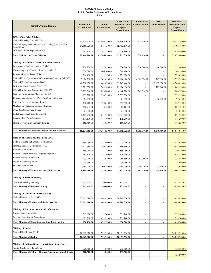### 2020-2021 Jamaica Budget Public Bodies Estimates of Expenditure \$'000

| <b>Ministry/Public Bodies</b>                                                            | <b>Recurrent</b><br><b>Expenditure</b> | Capital<br><b>Expenditure</b> | <b>Gross Total</b><br><b>Recurrent and</b><br>Capital<br><b>Expenditure</b> | <b>Transfer from</b><br><b>Consol. Fund</b> | Loan<br>Amortization     | <b>Net Total</b><br><b>Recurrent and</b><br>Capital<br><b>Expenditure</b> |
|------------------------------------------------------------------------------------------|----------------------------------------|-------------------------------|-----------------------------------------------------------------------------|---------------------------------------------|--------------------------|---------------------------------------------------------------------------|
| <b>Office of the Prime Minister</b>                                                      |                                        |                               |                                                                             |                                             |                          |                                                                           |
| National Housing Trust (NHT) **                                                          | 13,914,650.00                          | 42,896,320.00                 | 56,810,970.00                                                               | 378,630.00                                  |                          | 56,432,340.00                                                             |
| Human Employment and Resource Training Trust (HEART                                      | 14,558,020.00                          | 845,150.00                    | 15,403,170.00                                                               |                                             |                          | 15,403,170.00                                                             |
| Trust/NTA) **<br>Office of Utilities Regulation (OUR)                                    |                                        |                               |                                                                             |                                             |                          |                                                                           |
|                                                                                          | 992,310.00                             | 44,580.00                     | 1,036,890.00                                                                |                                             |                          | 1,036,890.00                                                              |
| <b>Total Office of the Prime Minister</b>                                                | 29,464,980.00                          | 43,786,050.00                 | 73,251,030.00                                                               | 378,630.00                                  | $\overline{a}$           | 72,872,400.00                                                             |
| Ministry of Economic Growth and Job Creation                                             |                                        |                               |                                                                             |                                             |                          |                                                                           |
| Development Bank of Jamaica (DBJ) **                                                     | 1,879,830.00                           | 197,010.00                    | 2,076,840.00                                                                | 1,370,000.00                                | 1,616,000.00             | 2,322,840.00                                                              |
| Housing Agency of Jamaica Limited (HAJ) **                                               | 538,090.00                             | 1,806,100.00                  | 2,344,190.00                                                                |                                             |                          | 2,344,190.00                                                              |
| Jamaica Mortgage Bank (JMB) **                                                           | 266,450.00                             | 9,170.00                      | 275,620.00                                                                  |                                             |                          | 275,620.00                                                                |
| National Road Operating and Constructing Company (NROCC)                                 | 7,824,210.00                           | 162,690.00                    | 7,986,900.00                                                                | 4,963,320.00                                | 767,810.00               | 3,791,390.00                                                              |
| National Water Commission (NWC) **                                                       | 40,280,970.00                          | 11,461,470.00                 | 51,742,440.00                                                               |                                             | 2,997,970.00             | 54,740,410.00                                                             |
| Port Authority of Jamaica (PAJ) **                                                       | 9,221,370.00                           | 2,705,580.00                  | 11,926,950.00                                                               |                                             | 1,122,640.00             | 13,049,590.00                                                             |
| Urban Development Corporation (UDC)**                                                    | 3,209,360.00                           | 838,860.00                    | 4,048,220.00                                                                | 1,762,050.00                                |                          | 2,286,170.00                                                              |
| Factories Corporation of Jamaica Limited                                                 | 939,280.00                             | 1,394,250.00                  | 2,333,530.00                                                                |                                             |                          | 2,333,530.00                                                              |
| Jamaica International Free Zone Development Limited<br>Kingston Freezone Company Limited | 61,570.00                              |                               | 61,570.00                                                                   |                                             | 36,070.00                | 97,640.00                                                                 |
| Montego Bay Freezone Company Limited                                                     | 478,760.00                             | 78,650.00                     | 557,410.00                                                                  |                                             |                          | 557,410.00                                                                |
| Ocho Rios Commercial Centre                                                              | 756,945.00                             | 48,160.00                     | 805,105.00                                                                  |                                             |                          | 805,105.00                                                                |
| Ports Management Security Limited                                                        | 21,810.00                              | $\overline{\phantom{a}}$      | 21,810.00                                                                   |                                             |                          | 21,810.00                                                                 |
| Runaway Bay Water Company                                                                | 2,425,990.00<br>174,190.00             | 645,530.00<br>1,100.00        | 3,071,520.00<br>175,290.00                                                  |                                             |                          | 3,071,520.00<br>175,290.00                                                |
| St Ann Development Company Limited                                                       | 155,480.00                             | 13,050.00                     | 168,530.00                                                                  |                                             |                          | 168,530.00                                                                |
| <b>Total Ministry of Economic Growth and Job Creation</b>                                | 68,234,305.00                          | 19,361,620.00                 | 87,595,925.00                                                               | 8,095,370.00                                | 6,540,490.00             | 86,041,045.00                                                             |
|                                                                                          |                                        |                               |                                                                             |                                             |                          |                                                                           |
| Ministry of Finance and the Public Service                                               |                                        |                               |                                                                             |                                             |                          |                                                                           |
| Betting, Gaming and Lotteries Commission                                                 | 1,158,050.00                           | 315,890.00                    | 1,473,940.00                                                                |                                             |                          | 1,473,940.00                                                              |
| Financial Services Commission (FSC)                                                      | 1,427,660.00                           | 159,230.00                    | 1,586,890.00                                                                |                                             |                          | 1,586,890.00                                                              |
| Harmonisation Limited                                                                    | 159,040.00                             | 210.00                        | 159,250.00                                                                  |                                             |                          | 159,250.00                                                                |
| Jamaica Deposit Insurance Corporation (JDIC)                                             | 681,110.00                             | 145,200.00                    | 826,310.00                                                                  |                                             |                          | 826,310.00                                                                |
| Jamaica Racing Commission                                                                | 273,940.00                             | 12,910.00                     | 286,850.00                                                                  | 53,000.00                                   |                          | 233,850.00                                                                |
| Public Accountancy Board<br>Students' Loan Bureau                                        | 14,996.00                              |                               | 14,996.00                                                                   |                                             |                          | 14,996.00                                                                 |
|                                                                                          | 2,484,000.00                           | 500,240.00                    | 2,984,240.00                                                                | 3,249,470.00                                | 478,310.00               | 213,080.00                                                                |
| <b>Total Ministry of Finance and the Public Service</b>                                  | 6,198,796.00                           | 1,133,680.00                  | 7,332,476.00                                                                | 3,302,470.00                                | 478,310.00               | 4,508,316.00                                                              |
| <b>Ministry of National Security</b>                                                     |                                        |                               |                                                                             |                                             |                          |                                                                           |
| Firearm Licensing Authority                                                              | 745,414.05                             | 80,000.00                     | 825,414.05                                                                  |                                             |                          | 825,414.05                                                                |
| <b>Total Ministry of National Security</b>                                               | 745,414.05                             | 80,000.00                     | 825,414.05                                                                  | $\qquad \qquad \blacksquare$                |                          | 825,414.05                                                                |
|                                                                                          |                                        |                               |                                                                             |                                             |                          |                                                                           |
| Ministry of Labour and Social Security                                                   |                                        |                               |                                                                             |                                             |                          |                                                                           |
| National Insurance Fund (NIF) **                                                         | 27,543,590.00                          | 2,444,480.00                  | 29,988,070.00                                                               |                                             |                          | 29,988,070.00                                                             |
| <b>Total Ministry of Labour and Social Security</b>                                      | 27,543,590.00                          | 2,444,480.00                  | 29,988,070.00                                                               | $\overline{\phantom{0}}$                    |                          | 29,988,070.00                                                             |
| Ministry of Education, Youth and Information                                             |                                        |                               |                                                                             |                                             |                          |                                                                           |
| <b>Broadcasting Commission</b>                                                           | 362,920.00                             | 32,240.00                     | 395,160.00                                                                  |                                             |                          | 395,160.00                                                                |
| Overseas Examination Commission                                                          | 615,210.00                             | 639,930.00                    | 1,255,140.00                                                                |                                             |                          | 1,255,140.00                                                              |
| <b>Total Ministry of Education, Youth and Information</b>                                | 978,130.00                             | 672,170.00                    | 1,650,300.00                                                                | ä,                                          |                          | 1,650,300.00                                                              |
|                                                                                          |                                        |                               |                                                                             |                                             |                          |                                                                           |
| <b>Ministry of Health</b><br>National Health Fund (NHF)                                  |                                        |                               |                                                                             |                                             |                          |                                                                           |
|                                                                                          | 20,062,000.00                          | 793,350.00                    | 20,855,350.00                                                               | ٠                                           |                          | 20,855,350.00                                                             |
| <b>Total Ministry of Health</b>                                                          | 20,062,000.00                          | 793,350.00                    | 20,855,350.00                                                               | $\overline{a}$                              | $\overline{a}$           | 20,855,350.00                                                             |
| Ministry of Culture, Gender, Entertainment and Sports                                    |                                        |                               |                                                                             |                                             |                          |                                                                           |
| Sports Development Foundation                                                            | 728,500.00                             | 4,000.00                      | 732,500.00                                                                  |                                             |                          | 732,500.00                                                                |
| <b>Total Ministry of Culture, Gender, Entertainment and Sports</b>                       | 728,500.00                             | 4,000.00                      | 732,500.00                                                                  | $\overline{a}$                              | $\overline{\phantom{a}}$ |                                                                           |
|                                                                                          |                                        |                               |                                                                             |                                             |                          | 732,500.00                                                                |